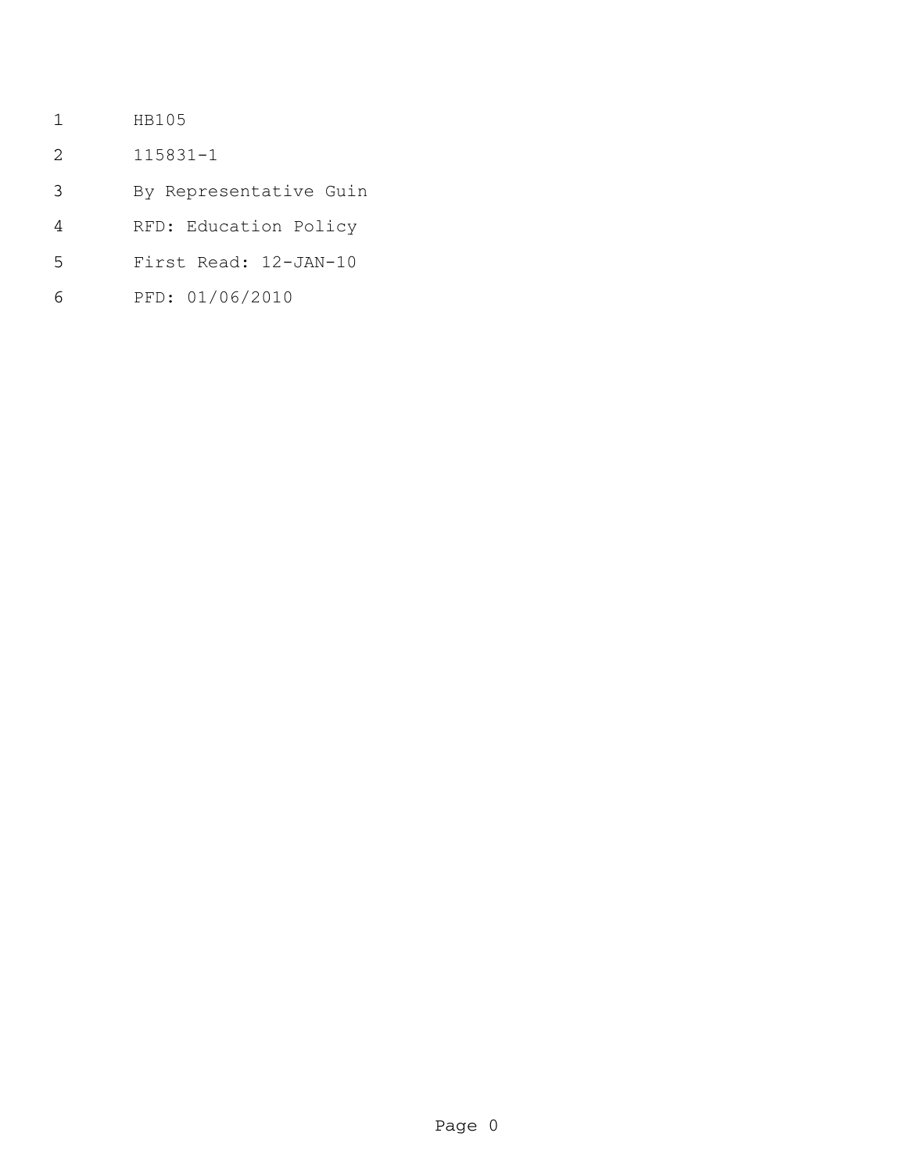- HB105
- 115831-1
- By Representative Guin
- RFD: Education Policy
- First Read: 12-JAN-10
- PFD: 01/06/2010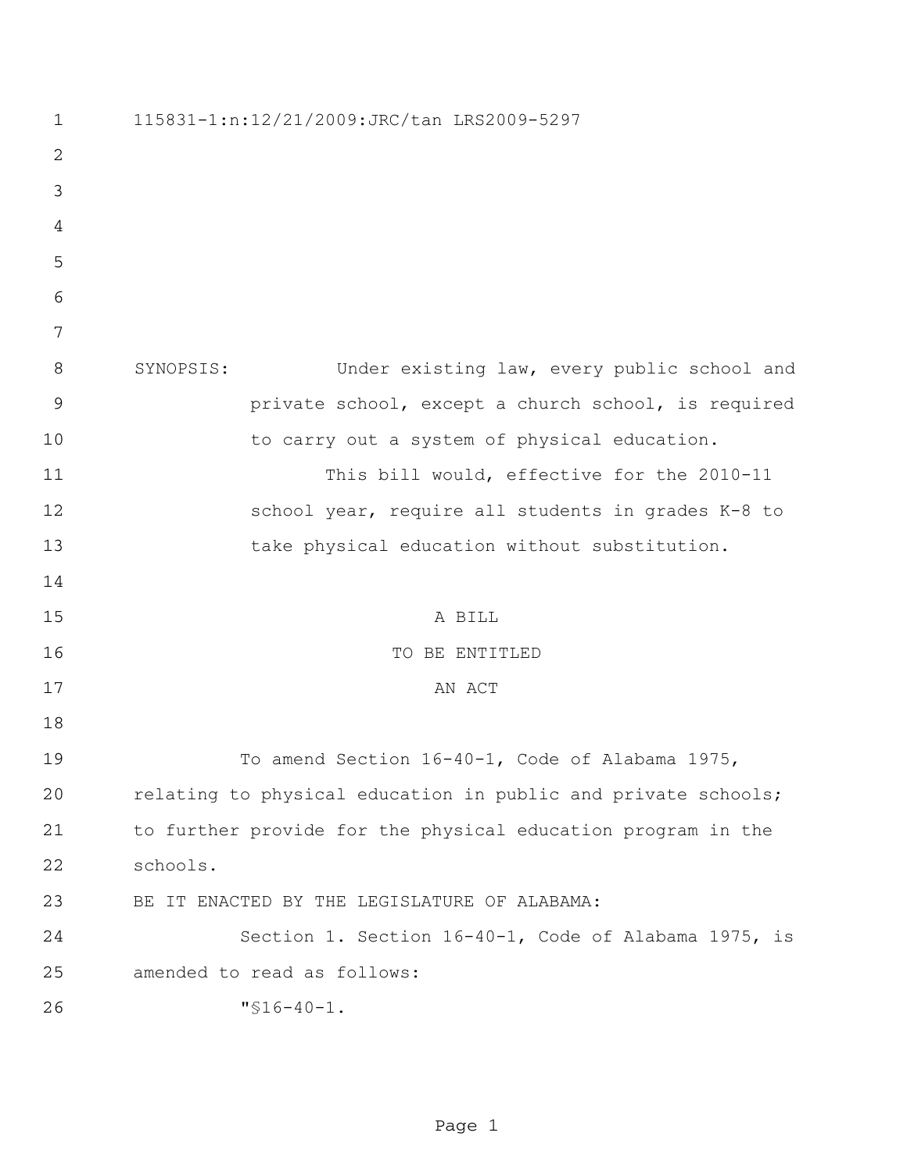| $\mathbf 1$    | 115831-1:n:12/21/2009:JRC/tan LRS2009-5297                    |
|----------------|---------------------------------------------------------------|
| 2              |                                                               |
| 3              |                                                               |
| 4              |                                                               |
| 5              |                                                               |
| 6              |                                                               |
| 7              |                                                               |
| 8              | SYNOPSIS:<br>Under existing law, every public school and      |
| $\overline{9}$ | private school, except a church school, is required           |
| 10             | to carry out a system of physical education.                  |
| 11             | This bill would, effective for the 2010-11                    |
| 12             | school year, require all students in grades K-8 to            |
| 13             | take physical education without substitution.                 |
| 14             |                                                               |
| 15             | A BILL                                                        |
| 16             | TO BE ENTITLED                                                |
| 17             | AN ACT                                                        |
| 18             |                                                               |
| 19             | To amend Section 16-40-1, Code of Alabama 1975,               |
| 20             | relating to physical education in public and private schools; |
| 21             | to further provide for the physical education program in the  |
| 22             | schools.                                                      |
| 23             | BE IT ENACTED BY THE LEGISLATURE OF ALABAMA:                  |
| 24             | Section 1. Section 16-40-1, Code of Alabama 1975, is          |
| 25             | amended to read as follows:                                   |
| 26             | $"516-40-1.$                                                  |